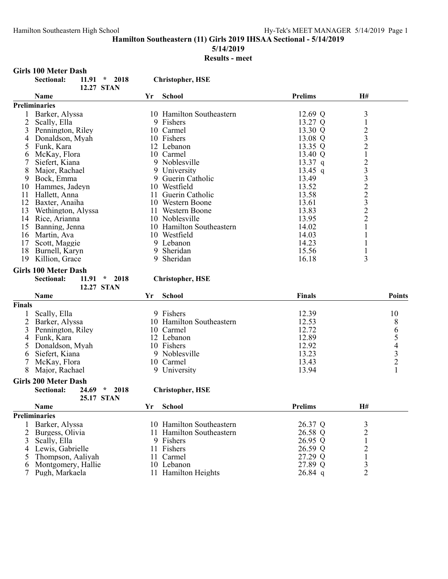# **5/14/2019**

# **Results - meet**

### **Girls 100 Meter Dash**

|                | <b>Sectional:</b><br>$11.91$ *<br>2018<br>12.27 STAN |    | <b>Christopher, HSE</b>  |                |                |               |
|----------------|------------------------------------------------------|----|--------------------------|----------------|----------------|---------------|
|                | Name                                                 | Yr | <b>School</b>            | <b>Prelims</b> | H#             |               |
|                | <b>Preliminaries</b>                                 |    |                          |                |                |               |
| 1              | Barker, Alyssa                                       |    | 10 Hamilton Southeastern | 12.69 Q        | $\mathfrak{Z}$ |               |
| $\overline{2}$ | Scally, Ella                                         |    | 9 Fishers                | 13.27 Q        | $\mathbf{1}$   |               |
| 3              | Pennington, Riley                                    |    | 10 Carmel                | 13.30 Q        |                |               |
| 4              | Donaldson, Myah                                      |    | 10 Fishers               | 13.08 Q        | $\frac{2}{3}$  |               |
| 5              | Funk, Kara                                           |    | 12 Lebanon               | 13.35 Q        | $\frac{2}{1}$  |               |
| 6              | McKay, Flora                                         |    | 10 Carmel                | 13.40 Q        |                |               |
| 7              | Siefert, Kiana                                       |    | 9 Noblesville            | $13.37$ q      |                |               |
| 8              | Major, Rachael                                       |    | 9 University             | $13.45$ q      | 23322322       |               |
| 9              | Bock, Emma                                           |    | 9 Guerin Catholic        | 13.49          |                |               |
| 10             | Hammes, Jadeyn                                       |    | 10 Westfield             | 13.52          |                |               |
| 11             | Hallett, Anna                                        |    | 11 Guerin Catholic       | 13.58          |                |               |
| 12             | Baxter, Anaiha                                       |    | 10 Western Boone         | 13.61          |                |               |
| 13             | Wethington, Alyssa                                   |    | 11 Western Boone         | 13.83          |                |               |
|                | 14 Rice, Arianna                                     |    | 10 Noblesville           | 13.95          |                |               |
| 15             | Banning, Jenna                                       |    | 10 Hamilton Southeastern | 14.02          | $\mathbf{1}$   |               |
|                | 16 Martin, Ava                                       |    | 10 Westfield             | 14.03          | 1              |               |
| 17             | Scott, Maggie                                        |    | 9 Lebanon                | 14.23          | 1              |               |
| 18             | Burnell, Karyn                                       |    | 9 Sheridan               | 15.56          | 1              |               |
|                | 19 Killion, Grace                                    |    | 9 Sheridan               | 16.18          | 3              |               |
|                |                                                      |    |                          |                |                |               |
|                | <b>Girls 100 Meter Dash</b>                          |    |                          |                |                |               |
|                | Sectional:<br>11.91<br>$\star$<br>2018               |    | <b>Christopher, HSE</b>  |                |                |               |
|                | 12.27 STAN                                           |    |                          |                |                |               |
|                | Name                                                 | Yr | <b>School</b>            | Finals         |                | <b>Points</b> |
| <b>Finals</b>  |                                                      |    |                          |                |                |               |
| 1              | Scally, Ella                                         |    | 9 Fishers                | 12.39          |                | 10            |
| $\overline{2}$ | Barker, Alyssa                                       |    | 10 Hamilton Southeastern | 12.53          |                |               |
| 3              | Pennington, Riley                                    |    | 10 Carmel                | 12.72          |                | 865432        |
| 4              | Funk, Kara                                           |    | 12 Lebanon               | 12.89          |                |               |
| 5              | Donaldson, Myah                                      |    | 10 Fishers               | 12.92          |                |               |
| 6              | Siefert, Kiana                                       |    | 9 Noblesville            | 13.23          |                |               |
| 7              | McKay, Flora                                         |    | 10 Carmel                | 13.43          |                |               |
| 8              | Major, Rachael                                       |    | 9 University             | 13.94          |                |               |
|                | <b>Girls 200 Meter Dash</b>                          |    |                          |                |                |               |
|                | 24.69<br>2018<br>Sectional:<br>$\star$               |    | <b>Christopher, HSE</b>  |                |                |               |
|                | 25.17 STAN                                           |    |                          |                |                |               |
|                | Name                                                 | Yr | <b>School</b>            | <b>Prelims</b> | H#             |               |
|                | <b>Preliminaries</b>                                 |    |                          |                |                |               |
| 1              | Barker, Alyssa                                       |    | 10 Hamilton Southeastern | 26.37 Q        | $\mathfrak{Z}$ |               |
| 2              | Burgess, Olivia                                      |    | 11 Hamilton Southeastern | 26.58 Q        | $\overline{2}$ |               |
|                | 2.0111.0111                                          |    | $\Omega$ $E:1$           | 26.05.0        | $\mathbf{1}$   |               |

7 Pugh, Markaela 11 Hamilton Heights 26.84 q 2

| 25.17 STAN           |    |                          |                |    |
|----------------------|----|--------------------------|----------------|----|
| <b>Name</b>          | Үr | <b>School</b>            | <b>Prelims</b> | Н# |
| liminaries           |    |                          |                |    |
| 1 Barker, Alyssa     |    | 10 Hamilton Southeastern | 26.37 Q        |    |
| 2 Burgess, Olivia    |    | 11 Hamilton Southeastern | 26.58 Q        |    |
| 3 Scally, Ella       |    | 9 Fishers                | 26.95 Q        |    |
| 4 Lewis, Gabrielle   |    | 11 Fishers               | 26.59 Q        |    |
| 5 Thompson, Aaliyah  |    | 11 Carmel                | 27.29 Q        |    |
| 6 Montgomery, Hallie |    | 10 Lebanon               | 27.89 Q        |    |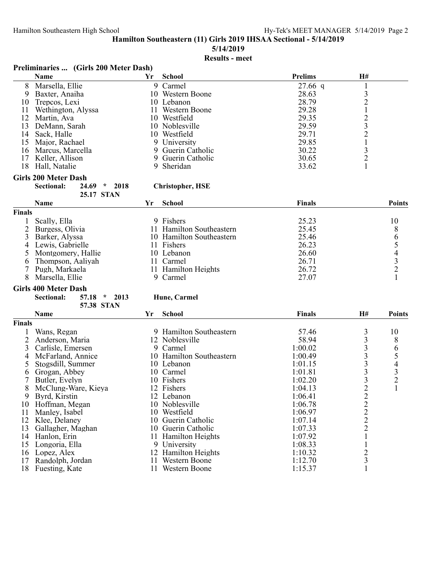**5/14/2019**

# **Results - meet**

|    | Preliminaries  (Girls 200 Meter Dash)<br><b>Name</b> | Yr | <b>School</b>     | <b>Prelims</b> | H# |  |
|----|------------------------------------------------------|----|-------------------|----------------|----|--|
| 8  | Marsella, Ellie                                      |    | 9 Carmel          | $27.66$ q      |    |  |
| 9  | Baxter, Anaiha                                       |    | 10 Western Boone  | 28.63          |    |  |
| 10 | Trepcos, Lexi                                        |    | 10 Lebanon        | 28.79          |    |  |
| 11 | Wethington, Alyssa                                   |    | Western Boone     | 29.28          |    |  |
| 12 | Martin, Ava                                          |    | 10 Westfield      | 29.35          |    |  |
| 13 | DeMann, Sarah                                        |    | 10 Noblesville    | 29.59          |    |  |
| 14 | Sack, Halle                                          |    | 10 Westfield      | 29.71          |    |  |
| 15 | Major, Rachael                                       |    | 9 University      | 29.85          |    |  |
| 16 | Marcus, Marcella                                     |    | 9 Guerin Catholic | 30.22          |    |  |
| 17 | Keller, Allison                                      |    | 9 Guerin Catholic | 30.65          |    |  |
| 18 | Hall, Natalie                                        |    | 9 Sheridan        | 33.62          |    |  |
|    | Girls 200 Meter Dash                                 |    |                   |                |    |  |

#### **Sectional: 24.69 \* 2018 Christopher, HSE**

|               | Name                 | Үr | <b>School</b>            | <b>Finals</b> | <b>Points</b> |
|---------------|----------------------|----|--------------------------|---------------|---------------|
| <b>Finals</b> |                      |    |                          |               |               |
|               | Scally, Ella         |    | 9 Fishers                | 25.23         | 10            |
|               | 2 Burgess, Olivia    |    | 11 Hamilton Southeastern | 25.45         |               |
|               | 3 Barker, Alyssa     |    | 10 Hamilton Southeastern | 25.46         |               |
|               | 4 Lewis, Gabrielle   |    | 11 Fishers               | 26.23         |               |
|               | 5 Montgomery, Hallie |    | 10 Lebanon               | 26.60         |               |
|               | 6 Thompson, Aaliyah  |    | 11 Carmel                | 26.71         |               |
|               | 7 Pugh, Markaela     |    | 11 Hamilton Heights      | 26.72         |               |
|               | Marsella, Ellie      |    | 9 Carmel                 | 27.07         |               |

# **Girls 400 Meter Dash**

**Sectional: 57.18 \* 2013 Hune, Carmel 57.38 STAN**

**25.17 STAN**

|               | <b>Name</b>         | Yr | <b>School</b>            | <b>Finals</b> | <b>H#</b>      | <b>Points</b>  |
|---------------|---------------------|----|--------------------------|---------------|----------------|----------------|
| <b>Finals</b> |                     |    |                          |               |                |                |
|               | Wans, Regan         |    | Hamilton Southeastern    | 57.46         | 3              | 10             |
|               | Anderson, Maria     |    | 12 Noblesville           | 58.94         | 3              | 8              |
|               | Carlisle, Emersen   |    | 9 Carmel                 | 1:00.02       | 3              | 6              |
|               | McFarland, Annice   |    | 10 Hamilton Southeastern | 1:00.49       | 3              |                |
|               | Stogsdill, Summer   |    | 10 Lebanon               | 1:01.15       | 3              | 4              |
| 6             | Grogan, Abbey       |    | 10 Carmel                | 1:01.81       | 3              | 3              |
|               | Butler, Evelyn      |    | 10 Fishers               | 1:02.20       | 3              | $\overline{2}$ |
| 8             | McClung-Ware, Kieya |    | 12 Fishers               | 1:04.13       | $\overline{c}$ |                |
| 9             | Byrd, Kirstin       |    | 12 Lebanon               | 1:06.41       | $\overline{c}$ |                |
| 10            | Hoffman, Megan      |    | 10 Noblesville           | 1:06.78       | $\overline{c}$ |                |
| 11            | Manley, Isabel      |    | 10 Westfield             | 1:06.97       | $\overline{c}$ |                |
| 12            | Klee, Delaney       |    | 10 Guerin Catholic       | 1:07.14       | $\overline{c}$ |                |
| 13            | Gallagher, Maghan   |    | 10 Guerin Catholic       | 1:07.33       | $\overline{2}$ |                |
| 14            | Hanlon, Erin        |    | <b>Hamilton Heights</b>  | 1:07.92       |                |                |
| 15            | Longoria, Ella      |    | 9 University             | 1:08.33       |                |                |
| 16            | Lopez, Alex         |    | 12 Hamilton Heights      | 1:10.32       | $\overline{2}$ |                |
| 17            | Randolph, Jordan    |    | Western Boone            | 1:12.70       | 3              |                |
| 18            | Fuesting, Kate      |    | Western Boone            | 1:15.37       |                |                |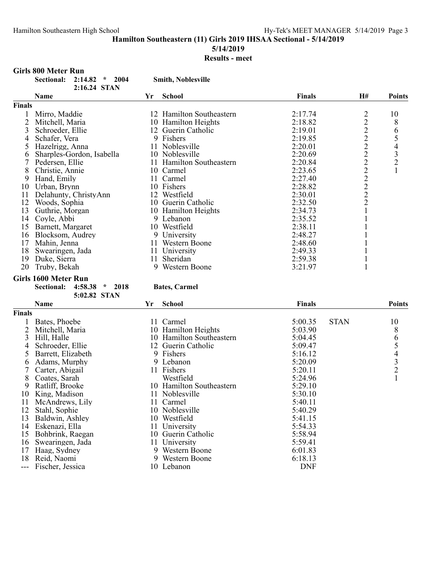**5/14/2019**

### **Results - meet**

#### **Girls 800 Meter Run Sectional: 2:14.82 \* 2004 Smith, Noblesville 2:16.24 STAN Name Yr School Finals H# Points Finals** 1 Mirro, Maddie 12 Hamilton Southeastern 2:17.74 2 10<br>
2 Mitchell, Maria 10 Hamilton Heights 2:18.82 2 8 2 Mitchell, Maria 10 Hamilton Heights 2:18.82 2 8<br>3 Schroeder, Ellie 12 Guerin Catholic 2:19.01 2 6 3 Schroeder, Ellie 12 Guerin Catholic 2:19.01 2 6<br>4 Schafer, Vera 9 Fishers 2:19.85 2 5 4 Schafer, Vera 9 Fishers 2 2:19.85 5 Franceling, Anna 11 Noblesville 2:20.01 2 4<br>
Sharples-Gordon, Isabella 10 Noblesville 2:20.69 2 3 6 Sharples-Gordon, Isabella 10 Noblesville 2:20.69 2 3<br>
11 Hamilton Southeastern 2:20.84 2 2 7 Pedersen, Ellie 11 Hamilton Southeastern 2:20.84 2 2<br>8 Christie Annie 10 Carmel 2:23.65 2 1 8 Christie, Annie 10 Carmel 2:23.65 2<br>
9 Hand. Emily 11 Carmel 2:27.40 2 9 Hand, Emily 11 Carmel 2:27.40 2<br>
0 Urban, Brvnn 10 Fishers 2:28.82 2 10 Urban, Brynn 10 Fishers 10 Fishers 2:28.82 2<br>11 Delahuntv. ChristvAnn 12 Westfield 2:30.01 2 11 Delahunty, ChristyAnn 12 Westfield 2:30.01 2<br>12 Woods. Sophia 10 Guerin Catholic 2:32.50 2 12 Woods, Sophia 10 Guerin Catholic 2.32.50 2<br>13 Guthrie, Morgan 10 Hamilton Heights 2.34.73 1 13 Guthrie, Morgan 10 Hamilton Heights 2:34.73 1<br>14 Covle. Abbi 9 Lebanon 19 (2:35.52 1 14 Coyle, Abbi 9 Lebanon 1 2:35.52<br>15 Barnett, Margaret 10 Westfield 2:38.11 15 Barnett, Margaret 10 Westfield 2:38.11 1<br>16 Blocksom. Audrey 1 9 University 2:48.27 1 16 Blocksom, Audrey 19 University 12:48.27<br>17 Mahin, Jenna 11 Western Boone 2:48.60 17 Mahin, Jenna 11 Western Boone 2:48.60 1 18 Swearingen, Jada 11 University 11 University 2:49.33 1<br>19 Duke, Sierra 11 11 11 Sheridan 2:59.38 1 19 Duke, Sierra 11 Sheridan 11 Sheridan 2:59.38 1<br>
20 Truby, Bekah 1 9 Western Boone 3:21.97 1 20 Truby, Bekah **Girls 1600 Meter Run Sectional: 4:58.38 \* 2018 Bates, Carmel 5:02.82 STAN Name Yr School Finals Points Finals** 1 Bates, Phoebe 11 Carmel 5:00.35 STAN 10 2 Mitchell, Maria 10 Hamilton Heights 5:03.90 8<br>3 Hill, Halle 10 Hamilton Southeastern 5:04.45 6 10 Hamilton Southeastern 5:04.45 6<br>12 Guerin Catholic 5:09.47 5 4 Schroeder, Ellie 12 Guerin Catholic 5:09.47 5<br>5 Barrett, Elizabeth 9 Fishers 5:16.12 4 5 Barrett, Elizabeth 9 Fishers 5:16.12 4<br>5 Adams, Murphy 9 Lebanon 5:20.09 3 6 Adams, Murphy 9 Lebanon 5:20.09 3<br>
7 Carter, Abigail 11 Fishers 5:20.11 2 7 Carter, Abigail 11 Fishers 5:20.11 2<br>
8 Coates, Sarah 11 Westfield 5:24.96 1 8 Coates, Sarah 10 Westfield 5:24.96<br>
9 Ratliff, Brooke 10 Hamilton Southeastern 5:29.10 10 Hamilton Southeastern 10 King, Madison 11 Noblesville 5:30.10<br>11 McAndrews, Lily 11 Carmel 5:40.11 11 McAndrews, Lily 11 Carmel 5:40.11<br>12 Stahl, Sophie 10 Noblesville 5:40.29 12 Stahl, Sophie 10 Noblesville 13 Baldwin, Ashley 10 Westfield 5:41.15 14 Eskenazi, Ella 11 University 5:54.33<br>15 Bohbrink. Raegan 10 Guerin Catholic 5:58.94 15 Bohbrink, Raegan 16 Swearingen, Jada 11 University 5:59.41<br>17 Haag, Sydney 9 Western Boone 6:01.83 17 Haag, Sydney 19 Western Boone 6:01.83<br>18 Reid, Naomi 18 Power 19 Western Boone 6:18.13 9 Western Boone

--- Fischer, Jessica 10 Lebanon DNF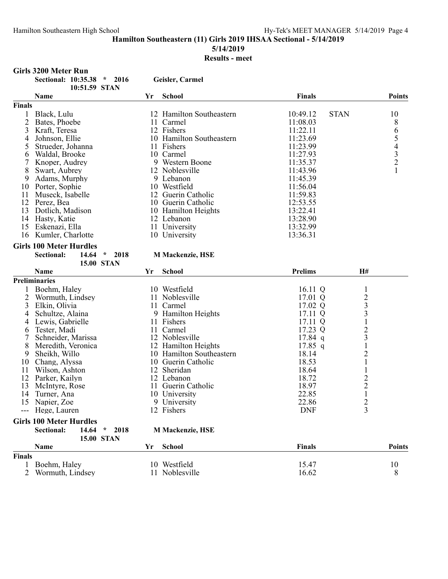**5/14/2019**

# **Results - meet**

|        | <b>Girls 3200 Meter Run</b>                 |                   |    |                          |                         |                         |               |
|--------|---------------------------------------------|-------------------|----|--------------------------|-------------------------|-------------------------|---------------|
|        | Sectional: 10:35.38 * 2016<br>10:51.59 STAN |                   |    | Geisler, Carmel          |                         |                         |               |
|        | Name                                        |                   | Yr | School                   | <b>Finals</b>           |                         | <b>Points</b> |
| Finals |                                             |                   |    |                          |                         |                         |               |
|        | 1 Black, Lulu                               |                   |    | 12 Hamilton Southeastern | 10:49.12<br><b>STAN</b> |                         | 10            |
| 2      | Bates, Phoebe                               |                   |    | 11 Carmel                | 11:08.03                |                         | 8             |
| 3      | Kraft, Teresa                               |                   |    | 12 Fishers               | 11:22.11                |                         |               |
| 4      | Johnson, Ellie                              |                   |    | 10 Hamilton Southeastern | 11:23.69                |                         |               |
| 5      | Strueder, Johanna                           |                   |    | 11 Fishers               | 11:23.99                |                         |               |
| 6      | Waldal, Brooke                              |                   |    | 10 Carmel                | 11:27.93                |                         | 65432         |
| 7      | Knoper, Audrey                              |                   |    | 9 Western Boone          | 11:35.37                |                         |               |
| 8      | Swart, Aubrey                               |                   |    | 12 Noblesville           | 11:43.96                |                         | $\mathbf{1}$  |
| 9      | Adams, Murphy                               |                   |    | 9 Lebanon                | 11:45.39                |                         |               |
| 10     | Porter, Sophie                              |                   |    | 10 Westfield             | 11:56.04                |                         |               |
| 11     | Museck, Isabelle                            |                   |    | 12 Guerin Catholic       | 11:59.83                |                         |               |
|        | 12 Perez, Bea                               |                   |    | 10 Guerin Catholic       | 12:53.55                |                         |               |
| 13     | Dotlich, Madison                            |                   |    | 10 Hamilton Heights      | 13:22.41                |                         |               |
|        | 14 Hasty, Katie                             |                   |    | 12 Lebanon               | 13:28.90                |                         |               |
|        | 15 Eskenazi, Ella                           |                   |    | 11 University            | 13:32.99                |                         |               |
|        | 16 Kumler, Charlotte                        |                   |    | 10 University            | 13:36.31                |                         |               |
|        | <b>Girls 100 Meter Hurdles</b>              |                   |    |                          |                         |                         |               |
|        | <b>Sectional:</b><br>14.64                  | $*$ 2018          |    | <b>M Mackenzie</b> , HSE |                         |                         |               |
|        |                                             | <b>15.00 STAN</b> |    |                          |                         |                         |               |
|        | Name                                        |                   | Yr | <b>School</b>            | <b>Prelims</b>          | H#                      |               |
|        | <b>Preliminaries</b>                        |                   |    |                          |                         |                         |               |
|        | Boehm, Haley                                |                   |    | 10 Westfield             | 16.11 Q                 | $\mathbf{1}$            |               |
| 2      | Wormuth, Lindsey                            |                   |    | 11 Noblesville           | 17.01 Q                 |                         |               |
| 3      | Elkin, Olivia                               |                   |    | 11 Carmel                | 17.02 Q                 | $\frac{2}{3}$           |               |
| 4      | Schultze, Alaina                            |                   |    | 9 Hamilton Heights       | 17.11 Q                 | 3                       |               |
| 4      | Lewis, Gabrielle                            |                   |    | 11 Fishers               | 17.11 Q                 | $\mathbf{1}$            |               |
| 6      | Tester, Madi                                |                   |    | 11 Carmel                | 17.23 Q                 | $\overline{c}$          |               |
| 7      | Schneider, Marissa                          |                   |    | 12 Noblesville           | $17.84$ q               | $\overline{\mathbf{3}}$ |               |
| 8      | Meredith, Veronica                          |                   |    | 12 Hamilton Heights      | $17.85$ q               | $\,1$                   |               |
| 9      | Sheikh, Willo                               |                   |    | 10 Hamilton Southeastern | 18.14                   | $\overline{c}$          |               |
| 10     | Chang, Alyssa                               |                   |    | 10 Guerin Catholic       | 18.53                   |                         |               |
| 11     | Wilson, Ashton                              |                   |    | 12 Sheridan              | 18.64                   |                         |               |
| 12     | Parker, Kailyn                              |                   |    | 12 Lebanon               | 18.72                   | $\frac{2}{2}$           |               |
| 13     | McIntyre, Rose                              |                   |    | 11 Guerin Catholic       | 18.97                   |                         |               |
|        | 14 Turner, Ana                              |                   |    | 10 University            | 22.85                   | $\,1\,$                 |               |
|        | 15 Napier, Zoe                              |                   |    | 9 University             | 22.86                   | $\overline{c}$          |               |
|        | --- Hege, Lauren                            |                   |    | 12 Fishers               | <b>DNF</b>              | $\overline{3}$          |               |
|        | <b>Girls 100 Meter Hurdles</b>              |                   |    |                          |                         |                         |               |
|        | <b>Sectional:</b>                           | 14.64 * 2018      |    | <b>M Mackenzie</b> , HSE |                         |                         |               |
|        |                                             | <b>15.00 STAN</b> |    |                          |                         |                         |               |
|        | Name                                        |                   | Yr | <b>School</b>            | <b>Finals</b>           |                         | <b>Points</b> |
| Finals |                                             |                   |    |                          |                         |                         |               |
|        | 1 Boehm, Haley                              |                   |    | 10 Westfield             | 15.47                   |                         | 10            |
|        | 2 Wormuth, Lindsey                          |                   |    | 11 Noblesville           | 16.62                   |                         | 8             |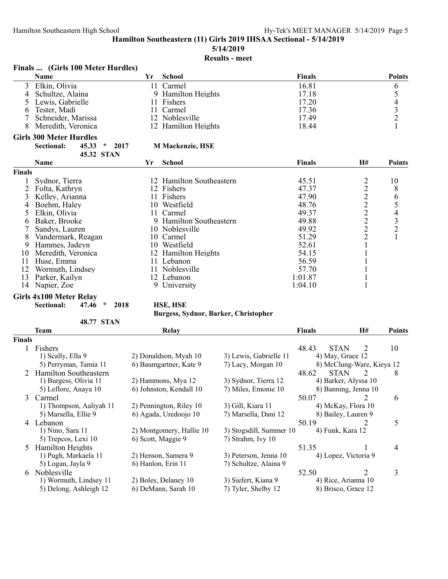**5/14/2019**

# **Results - meet**

| <b>Finals</b><br>(Girls 100 Meter Hurdles) |
|--------------------------------------------|
|--------------------------------------------|

|               | Name                                          | Yr  | <b>School</b>            | <b>Finals</b> |         | <b>Points</b>                              |
|---------------|-----------------------------------------------|-----|--------------------------|---------------|---------|--------------------------------------------|
| 3             | Elkin, Olivia                                 | 11  | Carmel                   | 16.81         |         | 6                                          |
| 4             | Schultze, Alaina                              |     | 9 Hamilton Heights       | 17.18         |         | 5                                          |
|               | Lewis, Gabrielle                              | 11  | Fishers                  | 17.20         |         |                                            |
| 6             | Tester, Madi                                  | 11. | Carmel                   | 17.36         |         | $\begin{array}{c} 4 \\ 3 \\ 2 \end{array}$ |
|               | Schneider, Marissa                            |     | 12 Noblesville           | 17.49         |         |                                            |
| 8             | Meredith, Veronica                            |     | 12 Hamilton Heights      | 18.44         |         |                                            |
|               | <b>Girls 300 Meter Hurdles</b>                |     |                          |               |         |                                            |
|               | 45.33<br>Sectional:<br>2017<br>$\pmb{\kappa}$ |     | <b>M Mackenzie, HSE</b>  |               |         |                                            |
|               | <b>45.32 STAN</b>                             |     |                          |               |         |                                            |
|               | Name                                          | Yr  | <b>School</b>            | <b>Finals</b> | H#      | <b>Points</b>                              |
| <b>Finals</b> |                                               |     |                          |               |         |                                            |
|               | Sydnor, Tierra                                |     | 12 Hamilton Southeastern | 45.51         |         | 10                                         |
|               | Folta, Kathryn                                |     | 12 Fishers               | 47.37         | 2222222 | $8\,$                                      |
| 3             | Kelley, Arianna                               |     | 11 Fishers               | 47.90         |         |                                            |
| 4             | Boehm, Haley                                  |     | 10 Westfield             | 48.76         |         | 654321                                     |
|               | Elkin, Olivia                                 | 11  | Carmel                   | 49.37         |         |                                            |
| 6             | Baker, Brooke                                 |     | 9 Hamilton Southeastern  | 49.88         |         |                                            |
|               | Sandys, Lauren                                |     | 10 Noblesville           | 49.92         |         |                                            |
| 8             | Vandermark, Reagan                            | 10  | Carmel                   | 51.29         |         |                                            |
| 9             | Hammes, Jadeyn                                |     | 10 Westfield             | 52.61         |         |                                            |
| 10            | Meredith, Veronica                            |     | 12 Hamilton Heights      | 54.15         |         |                                            |
| 11            | Huse, Emma                                    |     | 11 Lebanon               | 56.59         |         |                                            |
| 12            | Wormuth, Lindsey                              |     | 11 Noblesville           | 57.70         |         |                                            |
| 13            | Parker, Kailyn                                |     | 12 Lebanon               | 1:01.87       |         |                                            |
| 14            | Napier, Zoe                                   |     | 9 University             | 1:04.10       |         |                                            |

#### **Girls 4x100 Meter Relay**

**Sectional: 47.46 \* 2018 HSE, HSE**

| 48.77 | - STAN |
|-------|--------|
|-------|--------|

### **Burgess, Sydnor, Barker, Christopher**

|        | <b>Team</b>             | Relay                    |                         | <b>Finals</b> | H#                        | <b>Points</b> |
|--------|-------------------------|--------------------------|-------------------------|---------------|---------------------------|---------------|
| Finals |                         |                          |                         |               |                           |               |
|        | Fishers                 |                          |                         | 48.43         | <b>STAN</b><br>2          | 10            |
|        | 1) Scally, Ella 9       | 2) Donaldson, Myah 10    | 3) Lewis, Gabrielle 11  |               | 4) May, Grace 12          |               |
|        | 5) Perryman, Tamia 11   | 6) Baumgartner, Kate 9   | 7) Lacy, Morgan 10      |               | 8) McClung-Ware, Kieya 12 |               |
| 2      | Hamilton Southeastern   |                          |                         | 48.62         | <b>STAN</b><br>2          | 8             |
|        | 1) Burgess, Olivia 11   | 2) Hammons, Mya 12       | 3) Sydnor, Tierra 12    |               | 4) Barker, Alyssa 10      |               |
|        | 5) Leflore, Anaya 10    | 6) Johnston, Kendall 10  | 7) Miles, Emonie 10     |               | 8) Banning, Jenna 10      |               |
| 3      | Carmel                  |                          |                         | 50.07         | 2                         | 6             |
|        | 1) Thompson, Aaliyah 11 | 2) Pennington, Riley 10  | 3) Gill, Kiara 11       |               | 4) McKay, Flora 10        |               |
|        | 5) Marsella, Ellie 9    | 6) Agada, Uredoojo 10    | 7) Marsella, Dani 12    |               | 8) Bailey, Lauren 9       |               |
| 4      | Lebanon                 |                          |                         | 50.19         | 2                         | 5             |
|        | 1) Nino, Sara 11        | 2) Montgomery, Hallie 10 | 3) Stogsdill, Summer 10 |               | 4) Funk, Kara 12          |               |
|        | 5) Trepcos, Lexi 10     | 6) Scott, Maggie 9       | 7) Strahm, Ivy 10       |               |                           |               |
| 5.     | <b>Hamilton Heights</b> |                          |                         | 51.35         |                           | 4             |
|        | 1) Pugh, Markaela 11    | 2) Henson, Samera 9      | 3) Peterson, Jenna 10   |               | 4) Lopez, Victoria 9      |               |
|        | 5) Logan, Jayla 9       | 6) Hanlon, Erin 11       | 7) Schultze, Alaina 9   |               |                           |               |
| 6      | Noblesville             |                          |                         | 52.50         | 2                         | 3             |
|        | 1) Wormuth, Lindsey 11  | 2) Boles, Delaney 10     | 3) Siefert, Kiana 9     |               | 4) Rice, Arianna 10       |               |
|        | 5) Delong, Ashleigh 12  | 6) DeMann, Sarah 10      | 7) Tyler, Shelby 12     |               | 8) Brisco, Grace 12       |               |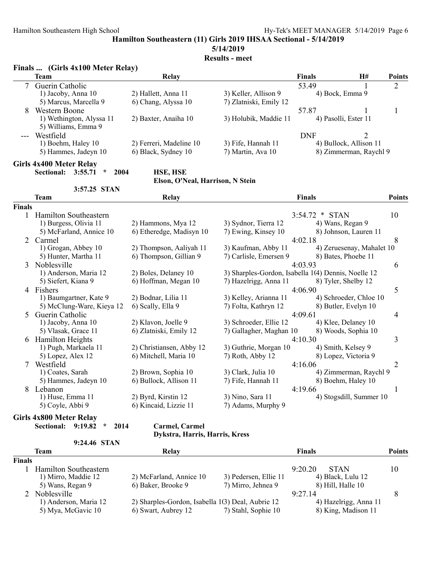## **5/14/2019**

**Results - meet**

|               | Finals  (Girls 4x100 Meter Relay)                                                 |                                                |                                                     |                          |                                                  |                |
|---------------|-----------------------------------------------------------------------------------|------------------------------------------------|-----------------------------------------------------|--------------------------|--------------------------------------------------|----------------|
|               | <b>Team</b>                                                                       | Relay                                          |                                                     | <b>Finals</b>            | <b>H#</b>                                        | Points         |
| 7             | Guerin Catholic<br>1) Jacoby, Anna 10<br>5) Marcus, Marcella 9                    | 2) Hallett, Anna 11<br>6) Chang, Alyssa 10     | 3) Keller, Allison 9<br>7) Zlatniski, Emily 12      | 53.49<br>4) Bock, Emma 9 | 1                                                | $\overline{2}$ |
| 8             | Western Boone<br>1) Wethington, Alyssa 11                                         | 2) Baxter, Anaiha 10                           | 3) Holubik, Maddie 11                               | 57.87                    | 1<br>4) Pasolli, Ester 11                        | $\mathbf{1}$   |
|               | 5) Williams, Emma 9<br>Westfield                                                  |                                                |                                                     | <b>DNF</b>               | $\overline{2}$                                   |                |
|               | 1) Boehm, Haley 10<br>5) Hammes, Jadeyn 10                                        | 2) Ferreri, Madeline 10<br>6) Black, Sydney 10 | 3) Fife, Hannah 11<br>7) Martin, Ava 10             |                          | 4) Bullock, Allison 11<br>8) Zimmerman, Raychl 9 |                |
|               | <b>Girls 4x400 Meter Relay</b><br><b>Sectional:</b><br>3:55.71<br>$\star$<br>2004 | HSE, HSE                                       |                                                     |                          |                                                  |                |
|               |                                                                                   | Elson, O'Neal, Harrison, N Stein               |                                                     |                          |                                                  |                |
|               | 3:57.25 STAN                                                                      |                                                |                                                     |                          |                                                  |                |
|               | Team                                                                              | Relay                                          |                                                     | <b>Finals</b>            |                                                  | <b>Points</b>  |
| <b>Finals</b> |                                                                                   |                                                |                                                     |                          |                                                  |                |
|               | 1 Hamilton Southeastern                                                           |                                                |                                                     | 3:54.72 * STAN           |                                                  | 10             |
|               | 1) Burgess, Olivia 11                                                             | 2) Hammons, Mya 12                             | 3) Sydnor, Tierra 12                                | 4) Wans, Regan 9         |                                                  |                |
|               | 5) McFarland, Annice 10                                                           | 6) Etheredge, Madisyn 10                       | 7) Ewing, Kinsey 10                                 |                          | 8) Johnson, Lauren 11                            |                |
|               | 2 Carmel                                                                          |                                                |                                                     | 4:02.18                  |                                                  | 8              |
|               | 1) Grogan, Abbey 10                                                               | 2) Thompson, Aaliyah 11                        | 3) Kaufman, Abby 11                                 |                          | 4) Zeruesenay, Mahalet 10                        |                |
|               | 5) Hunter, Martha 11                                                              | 6) Thompson, Gillian 9                         | 7) Carlisle, Emersen 9                              |                          | 8) Bates, Phoebe 11                              |                |
| 3             | Noblesville<br>1) Anderson, Maria 12                                              | 2) Boles, Delaney 10                           | 3) Sharples-Gordon, Isabella 1(4) Dennis, Noelle 12 | 4:03.93                  |                                                  | 6              |
|               | 5) Siefert, Kiana 9                                                               | 6) Hoffman, Megan 10                           | 7) Hazelrigg, Anna 11                               |                          | 8) Tyler, Shelby 12                              |                |
|               | 4 Fishers                                                                         |                                                |                                                     | 4:06.90                  |                                                  | 5              |
|               | 1) Baumgartner, Kate 9                                                            | 2) Bodnar, Lilia 11                            | 3) Kelley, Arianna 11                               |                          | 4) Schroeder, Chloe 10                           |                |
|               | 5) McClung-Ware, Kieya 12                                                         | 6) Scally, Ella 9                              | 7) Folta, Kathryn 12                                |                          | 8) Butler, Evelyn 10                             |                |
| 5.            | Guerin Catholic                                                                   |                                                |                                                     | 4:09.61                  |                                                  | $\overline{4}$ |
|               | 1) Jacoby, Anna 10                                                                | 2) Klavon, Joelle 9                            | 3) Schroeder, Ellie 12                              |                          | 4) Klee, Delaney 10                              |                |
|               | 5) Vlasak, Grace 11                                                               | 6) Zlatniski, Emily 12                         | 7) Gallagher, Maghan 10                             |                          | 8) Woods, Sophia 10                              |                |
|               | 6 Hamilton Heights                                                                |                                                |                                                     | 4:10.30                  |                                                  | 3              |
|               | 1) Pugh, Markaela 11                                                              | 2) Christiansen, Abby 12                       | 3) Guthrie, Morgan 10                               |                          | 4) Smith, Kelsey 9                               |                |
|               | 5) Lopez, Alex 12                                                                 | 6) Mitchell, Maria 10                          | 7) Roth, Abby 12                                    |                          | 8) Lopez, Victoria 9                             |                |
|               | 7 Westfield                                                                       |                                                |                                                     | 4:16.06                  |                                                  | $\overline{2}$ |
|               | 1) Coates, Sarah                                                                  | 2) Brown, Sophia 10                            | 3) Clark, Julia 10                                  |                          | 4) Zimmerman, Raychl 9                           |                |
|               | 5) Hammes, Jadeyn 10                                                              | 6) Bullock, Allison 11                         | 7) Fife, Hannah 11                                  |                          | 8) Boehm, Haley 10                               |                |
|               | 8 Lebanon                                                                         |                                                |                                                     | 4:19.66                  |                                                  | 1              |
|               | 1) Huse, Emma 11                                                                  | 2) Byrd, Kirstin 12                            | 3) Nino, Sara 11                                    |                          | 4) Stogsdill, Summer 10                          |                |
|               | 5) Coyle, Abbi 9                                                                  | 6) Kincaid, Lizzie 11                          | 7) Adams, Murphy 9                                  |                          |                                                  |                |
|               | <b>Girls 4x800 Meter Relay</b>                                                    |                                                |                                                     |                          |                                                  |                |
|               | Sectional:<br>9:19.82<br>$\star$<br>2014                                          | Carmel, Carmel                                 |                                                     |                          |                                                  |                |

# **Dykstra, Harris, Harris, Kress**

| 9:24.46 STAN |  |
|--------------|--|
|--------------|--|

| Team                  | Relav                   |                       |                                                   | <b>Points</b> |  |
|-----------------------|-------------------------|-----------------------|---------------------------------------------------|---------------|--|
| <b>Finals</b>         |                         |                       |                                                   |               |  |
| Hamilton Southeastern |                         |                       | 9:20.20<br><b>STAN</b>                            | 10            |  |
| 1) Mirro, Maddie 12   | 2) McFarland, Annice 10 | 3) Pedersen, Ellie 11 | 4) Black, Lulu 12                                 |               |  |
| 5) Wans, Regan 9      | 6) Baker, Brooke 9      | 7) Mirro, Jehnea 9    | 8) Hill, Halle 10                                 |               |  |
| 2 Noblesville         |                         |                       | 9:27.14                                           |               |  |
| 1) Anderson, Maria 12 |                         |                       | 4) Hazelrigg, Anna 11                             |               |  |
| 5) Mya, McGavic 10    | 6) Swart, Aubrey 12     | 7) Stahl, Sophie 10   | 8) King, Madison 11                               |               |  |
|                       |                         |                       | 2) Sharples-Gordon, Isabella 1(3) Deal, Aubrie 12 | <b>Finals</b> |  |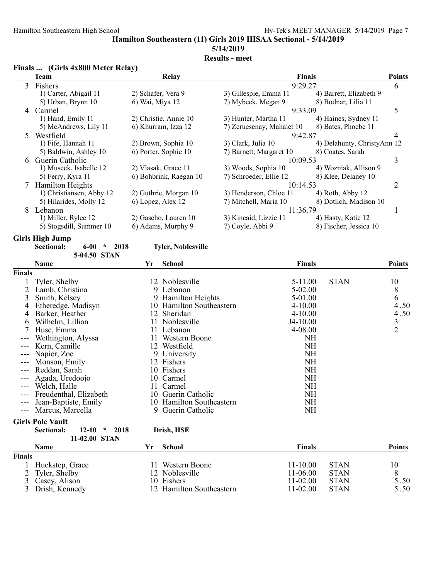# **5/14/2019**

# **Results - meet**

|    | Finals  (Girls 4x800 Meter Relay) |                        |                           |                             |               |
|----|-----------------------------------|------------------------|---------------------------|-----------------------------|---------------|
|    | Team                              | Relay                  | <b>Finals</b>             |                             | <b>Points</b> |
| 3  | Fishers                           |                        | 9:29.27                   |                             | 6             |
|    | 1) Carter, Abigail 11             | 2) Schafer, Vera 9     | 3) Gillespie, Emma 11     | 4) Barrett, Elizabeth 9     |               |
|    | 5) Urban, Brynn 10                | 6) Wai, Miya 12        | 7) Mybeck, Megan 9        | 8) Bodnar, Lilia 11         |               |
| 4  | Carmel                            |                        | 9:33.09                   |                             | 5             |
|    | 1) Hand, Emily 11                 | 2) Christie, Annie 10  | 3) Hunter, Martha 11      | 4) Haines, Sydney 11        |               |
|    | 5) McAndrews, Lily 11             | 6) Khurram, Izza 12    | 7) Zeruesenay, Mahalet 10 | 8) Bates, Phoebe 11         |               |
| 5. | Westfield                         |                        | 9:42.87                   |                             | 4             |
|    | 1) Fife, Hannah 11                | 2) Brown, Sophia 10    | 3) Clark, Julia 10        | 4) Delahunty, ChristyAnn 12 |               |
|    | 5) Baldwin, Ashley 10             | 6) Porter, Sophie 10   | 7) Barnett, Margaret 10   | 8) Coates, Sarah            |               |
| 6. | Guerin Catholic                   |                        | 10:09.53                  |                             | 3             |
|    | 1) Museck, Isabelle 12            | 2) Vlasak, Grace 11    | 3) Woods, Sophia 10       | 4) Wozniak, Allison 9       |               |
|    | 5) Ferry, Kyra 11                 | 6) Bohbrink, Raegan 10 | 7) Schroeder, Ellie 12    | 8) Klee, Delaney 10         |               |
|    | <b>Hamilton Heights</b>           |                        | 10:14.53                  |                             | 2             |
|    | 1) Christiansen, Abby 12          | 2) Guthrie, Morgan 10  | 3) Henderson, Chloe 11    | $(4)$ Roth, Abby 12         |               |
|    | 5) Hilarides, Molly 12            | 6) Lopez, Alex 12      | 7) Mitchell, Maria 10     | 8) Dotlich, Madison 10      |               |
| 8  | Lebanon                           |                        | 11:36.79                  |                             |               |
|    | 1) Miller, Rylee 12               | 2) Gascho, Lauren 10   | 3) Kincaid, Lizzie 11     | 4) Hasty, Katie 12          |               |
|    | 5) Stogsdill, Summer 10           | 6) Adams, Murphy 9     | 7) Coyle, Abbi 9          | 8) Fischer, Jessica 10      |               |
|    |                                   |                        |                           |                             |               |

#### **Girls High Jump**

| Sectional: | 6-00         | 2018 | <b>Tyler, Noblesville</b> |
|------------|--------------|------|---------------------------|
|            | 5-04.50 STAN |      |                           |

|               | Name                                       | Yr | <b>School</b>            | <b>Finals</b> |             | <b>Points</b>  |
|---------------|--------------------------------------------|----|--------------------------|---------------|-------------|----------------|
| <b>Finals</b> |                                            |    |                          |               |             |                |
|               | Tyler, Shelby                              |    | 12 Noblesville           | 5-11.00       | <b>STAN</b> | 10             |
|               | Lamb, Christina                            |    | 9 Lebanon                | 5-02.00       |             | 8              |
| 3             | Smith, Kelsey                              |    | 9 Hamilton Heights       | 5-01.00       |             | 6              |
| 4             | Etheredge, Madisyn                         |    | 10 Hamilton Southeastern | $4 - 10.00$   |             | 4.50           |
| 4             | Barker, Heather                            |    | 12 Sheridan              | $4 - 10.00$   |             | 4.50           |
| 6             | Wilhelm, Lillian                           |    | 11 Noblesville           | J4-10.00      |             | 3              |
|               | Huse, Emma                                 |    | Lebanon                  | 4-08.00       |             | $\overline{2}$ |
|               | Wethington, Alyssa                         |    | Western Boone            | NH            |             |                |
|               | Kern, Camille                              |    | 12 Westfield             | NH            |             |                |
|               | Napier, Zoe                                | 9. | University               | NH            |             |                |
|               | Monson, Emily                              |    | 12 Fishers               | NH            |             |                |
| $---$         | Reddan, Sarah                              |    | 10 Fishers               | NH            |             |                |
|               | Agada, Uredoojo                            |    | 10 Carmel                | NΗ            |             |                |
| $---$         | Welch, Halle                               |    | 11 Carmel                | NH            |             |                |
|               | Freudenthal, Elizabeth                     |    | 10 Guerin Catholic       | NH            |             |                |
| $---$         | Jean-Baptiste, Emily                       |    | 10 Hamilton Southeastern | NH            |             |                |
| $---$         | Marcus, Marcella                           |    | 9 Guerin Catholic        | NH            |             |                |
|               | <b>Girls Pole Vault</b>                    |    |                          |               |             |                |
|               | Sectional:<br>$12 - 10$<br>2018<br>$\star$ |    | Drish, HSE               |               |             |                |

| 11-02.00 STAN |                  |                          |               |             |               |  |
|---------------|------------------|--------------------------|---------------|-------------|---------------|--|
|               | Name             | School                   | <b>Finals</b> |             | <b>Points</b> |  |
| <b>Finals</b> |                  |                          |               |             |               |  |
|               | Huckstep, Grace  | Western Boone            | $11 - 10.00$  | <b>STAN</b> | 10            |  |
|               | 2 Tyler, Shelby  | 12 Noblesville           | $11-06.00$    | <b>STAN</b> | 8             |  |
|               | 3 Casey, Alison  | 10 Fishers               | $11 - 02.00$  | <b>STAN</b> | 5.50          |  |
|               | 3 Drish, Kennedy | 12 Hamilton Southeastern | $11 - 02.00$  | <b>STAN</b> | 5.50          |  |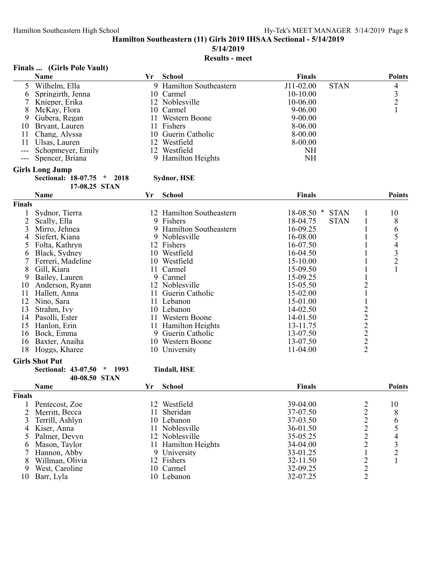**5/14/2019**

# **Results - meet**

|               | Finals  (Girls Pole Vault)                   |     |                          |                             |                  |               |
|---------------|----------------------------------------------|-----|--------------------------|-----------------------------|------------------|---------------|
|               | Name                                         | Yr  | School                   | <b>Finals</b>               |                  | <b>Points</b> |
| 5             | Wilhelm, Ella                                |     | 9 Hamilton Southeastern  | J11-02.00<br><b>STAN</b>    |                  | 4             |
| 6             | Springirth, Jenna                            |     | 10 Carmel                | $10-10.00$                  |                  |               |
|               | Knieper, Erika                               |     | 12 Noblesville           | 10-06.00                    |                  | $\frac{3}{2}$ |
| 8             | McKay, Flora                                 |     | 10 Carmel                | 9-06.00                     |                  | $\mathbf{1}$  |
| 9             | Gubera, Regan                                |     | 11 Western Boone         | $9 - 00.00$                 |                  |               |
| 10            | Bryant, Lauren                               |     | 11 Fishers               | 8-06.00                     |                  |               |
| 11            | Chang, Alyssa                                |     | 10 Guerin Catholic       | 8-00.00                     |                  |               |
| 11            | Ulsas, Lauren                                |     | 12 Westfield             | 8-00.00                     |                  |               |
| ---           | Schopmeyer, Emily                            |     | 12 Westfield             | <b>NH</b>                   |                  |               |
| $---$         | Spencer, Briana                              |     | 9 Hamilton Heights       | <b>NH</b>                   |                  |               |
|               |                                              |     |                          |                             |                  |               |
|               | <b>Girls Long Jump</b>                       |     |                          |                             |                  |               |
|               | Sectional: 18-07.75<br>2018<br>$\mathcal{R}$ |     | Sydnor, HSE              |                             |                  |               |
|               | 17-08.25 STAN                                |     |                          | Finals                      |                  |               |
|               | Name                                         | Yr  | <b>School</b>            |                             |                  | <b>Points</b> |
| Finals        |                                              |     |                          |                             |                  |               |
| 1             | Sydnor, Tierra                               |     | 12 Hamilton Southeastern | $18-08.50$ *<br><b>STAN</b> | 1                | 10            |
| 2             | Scally, Ella                                 |     | 9 Fishers                | 18-04.75<br><b>STAN</b>     | $\mathbf{1}$     | 8             |
| 3             | Mirro, Jehnea                                |     | 9 Hamilton Southeastern  | 16-09.25                    | $\mathbf{1}$     |               |
| 4             | Siefert, Kiana                               |     | 9 Noblesville            | 16-08.00                    | 1                |               |
| 5             | Folta, Kathryn                               |     | 12 Fishers               | 16-07.50                    |                  |               |
| 6             | Black, Sydney                                |     | 10 Westfield             | 16-04.50                    |                  |               |
|               | Ferreri, Madeline                            |     | 10 Westfield             | 15-10.00                    | 1                | 654321        |
| 8             | Gill, Kiara                                  |     | 11 Carmel                | 15-09.50                    | $\mathbf{1}$     |               |
| 9             | Bailey, Lauren                               |     | 9 Carmel                 | 15-09.25                    | $\mathbf{1}$     |               |
| 10            | Anderson, Ryann                              |     | 12 Noblesville           | 15-05.50                    | $\overline{c}$   |               |
| 11            | Hallett, Anna                                | 11. | Guerin Catholic          | 15-02.00                    |                  |               |
| 12            | Nino, Sara                                   |     | 11 Lebanon               | 15-01.00                    | $\mathbf 1$      |               |
| 13            | Strahm, Ivy                                  |     | 10 Lebanon               | 14-02.50                    |                  |               |
| 14            | Pasolli, Ester                               |     | 11 Western Boone         | 14-01.50                    |                  |               |
| 15            | Hanlon, Erin                                 |     | 11 Hamilton Heights      | 13-11.75                    |                  |               |
| 16            | Bock, Emma                                   |     | 9 Guerin Catholic        | 13-07.50                    |                  |               |
| 16            | Baxter, Anaiha                               |     | 10 Western Boone         | 13-07.50                    | $22222$<br>$222$ |               |
| 18            | Hoggs, Kharee                                |     | 10 University            | 11-04.00                    |                  |               |
|               | <b>Girls Shot Put</b>                        |     |                          |                             |                  |               |
|               | <b>Sectional: 43-07.50</b><br>$*$ 1993       |     | <b>Tindall, HSE</b>      |                             |                  |               |
|               | 40-08.50 STAN                                |     |                          |                             |                  |               |
|               | Name                                         | Yr  | School                   | <b>Finals</b>               |                  | <b>Points</b> |
| <b>Finals</b> |                                              |     |                          |                             |                  |               |
| 1             | Pentecost, Zoe                               |     | 12 Westfield             | 39-04.00                    | $\overline{c}$   | 10            |
| 2             | Merritt, Becca                               |     | 11 Sheridan              | 37-07.50                    |                  |               |
| 3             | Terrill, Ashlyn                              |     | 10 Lebanon               | 37-03.50                    |                  |               |
| 4             | Kiser, Anna                                  |     | 11 Noblesville           | 36-01.50                    | $2222$<br>$222$  | 865432        |
| 5             | Palmer, Devyn                                |     | 12 Noblesville           | 35-05.25                    |                  |               |
| 6             | Mason, Taylor                                |     | 11 Hamilton Heights      | 34-04.00                    |                  |               |
|               | Hannon, Abby                                 |     | 9 University             | 33-01.25                    | $\,1\,$          |               |
| 8             | Willman, Olivia                              |     | 12 Fishers               | 32-11.50                    |                  | $\mathbf{1}$  |
| 9             | West, Caroline                               |     | 10 Carmel                | 32-09.25                    | $\frac{2}{2}$    |               |
| 10            | Barr, Lyla                                   |     | 10 Lebanon               | 32-07.25                    |                  |               |
|               |                                              |     |                          |                             |                  |               |